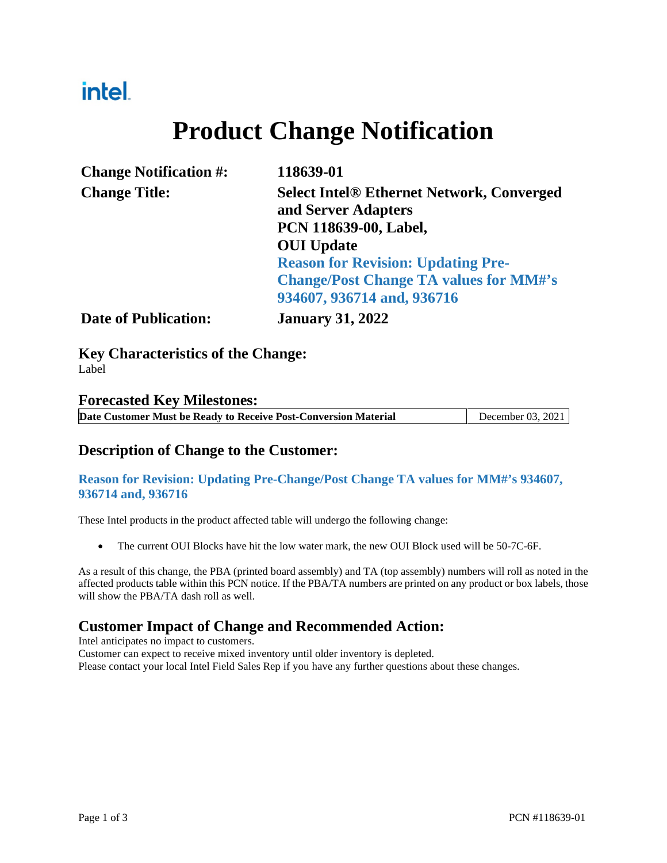### intel.

# **Product Change Notification**

| <b>Change Notification #:</b> | 118639-01                                                               |  |  |
|-------------------------------|-------------------------------------------------------------------------|--|--|
| <b>Change Title:</b>          | <b>Select Intel® Ethernet Network, Converged</b><br>and Server Adapters |  |  |
|                               | PCN 118639-00, Label,                                                   |  |  |
|                               | <b>OUI</b> Update                                                       |  |  |
|                               | <b>Reason for Revision: Updating Pre-</b>                               |  |  |
|                               | <b>Change/Post Change TA values for MM#'s</b>                           |  |  |
|                               | 934607, 936714 and, 936716                                              |  |  |
| <b>Date of Publication:</b>   | <b>January 31, 2022</b>                                                 |  |  |

**Key Characteristics of the Change:** Label

#### **Forecasted Key Milestones:**

| Date Customer Must be Ready to Receive Post-Conversion Material | December 03, 2021 |
|-----------------------------------------------------------------|-------------------|

#### **Description of Change to the Customer:**

#### **Reason for Revision: Updating Pre-Change/Post Change TA values for MM#'s 934607, 936714 and, 936716**

These Intel products in the product affected table will undergo the following change:

• The current OUI Blocks have hit the low water mark, the new OUI Block used will be 50-7C-6F.

As a result of this change, the PBA (printed board assembly) and TA (top assembly) numbers will roll as noted in the affected products table within this PCN notice. If the PBA/TA numbers are printed on any product or box labels, those will show the PBA/TA dash roll as well.

#### **Customer Impact of Change and Recommended Action:**

Intel anticipates no impact to customers.

Customer can expect to receive mixed inventory until older inventory is depleted.

Please contact your local Intel Field Sales Rep if you have any further questions about these changes.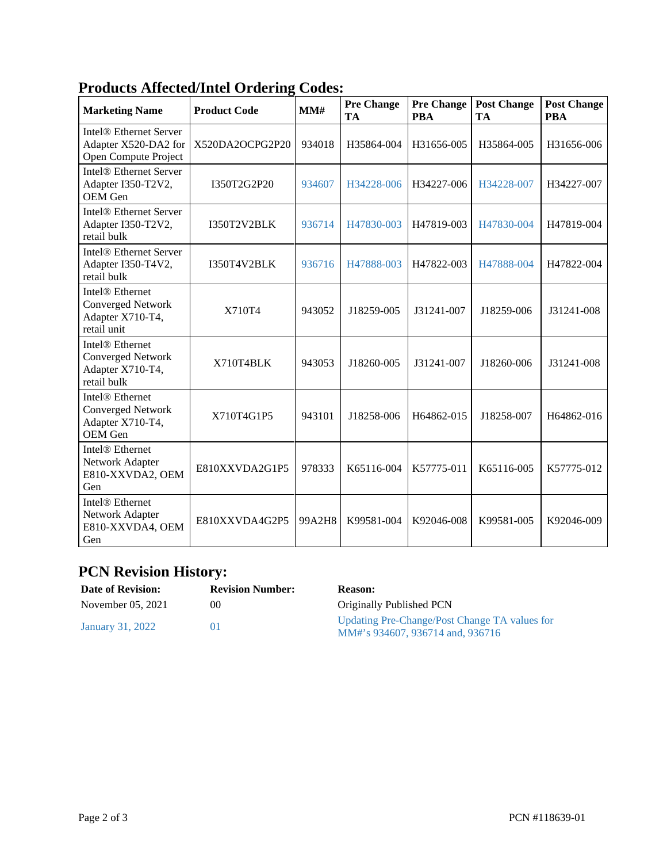| <b>Marketing Name</b>                                                                      | <b>Product Code</b> | MM#    | <b>Pre Change</b><br>TA | <b>Pre Change</b><br><b>PBA</b> | <b>Post Change</b><br>TA | <b>Post Change</b><br><b>PBA</b> |
|--------------------------------------------------------------------------------------------|---------------------|--------|-------------------------|---------------------------------|--------------------------|----------------------------------|
| Intel <sup>®</sup> Ethernet Server<br>Adapter X520-DA2 for<br>Open Compute Project         | X520DA2OCPG2P20     | 934018 | H35864-004              | H31656-005                      | H35864-005               | H31656-006                       |
| Intel <sup>®</sup> Ethernet Server<br>Adapter I350-T2V2,<br>OEM Gen                        | I350T2G2P20         | 934607 | H34228-006              | H34227-006                      | H34228-007               | H34227-007                       |
| Intel <sup>®</sup> Ethernet Server<br>Adapter I350-T2V2,<br>retail bulk                    | I350T2V2BLK         | 936714 | H47830-003              | H47819-003                      | H47830-004               | H47819-004                       |
| Intel <sup>®</sup> Ethernet Server<br>Adapter I350-T4V2,<br>retail bulk                    | I350T4V2BLK         | 936716 | H47888-003              | H47822-003                      | H47888-004               | H47822-004                       |
| Intel <sup>®</sup> Ethernet<br><b>Converged Network</b><br>Adapter X710-T4,<br>retail unit | X710T4              | 943052 | J18259-005              | J31241-007                      | J18259-006               | J31241-008                       |
| Intel <sup>®</sup> Ethernet<br><b>Converged Network</b><br>Adapter X710-T4,<br>retail bulk | X710T4BLK           | 943053 | J18260-005              | J31241-007                      | J18260-006               | J31241-008                       |
| Intel <sup>®</sup> Ethernet<br><b>Converged Network</b><br>Adapter X710-T4,<br>OEM Gen     | X710T4G1P5          | 943101 | J18258-006              | H64862-015                      | J18258-007               | H64862-016                       |
| Intel <sup>®</sup> Ethernet<br>Network Adapter<br>E810-XXVDA2, OEM<br>Gen                  | E810XXVDA2G1P5      | 978333 | K65116-004              | K57775-011                      | K65116-005               | K57775-012                       |
| Intel <sup>®</sup> Ethernet<br>Network Adapter<br>E810-XXVDA4, OEM<br>Gen                  | E810XXVDA4G2P5      | 99A2H8 | K99581-004              | K92046-008                      | K99581-005               | K92046-009                       |

### **Products Affected/Intel Ordering Codes:**

### **PCN Revision History:**

| <b>Date of Revision:</b> | <b>Revision Number:</b> | <b>Reason:</b>                                                                    |
|--------------------------|-------------------------|-----------------------------------------------------------------------------------|
| November 05, 2021        | $($ )(                  | Originally Published PCN                                                          |
| January 31, 2022         |                         | Updating Pre-Change/Post Change TA values for<br>MM#'s 934607, 936714 and, 936716 |